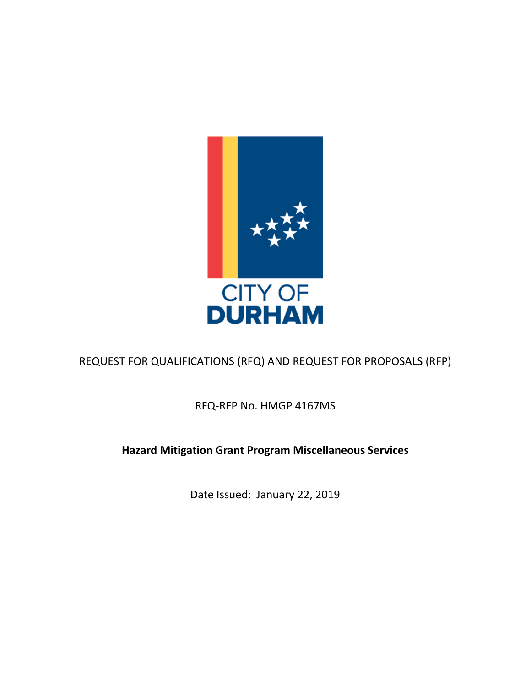

REQUEST FOR QUALIFICATIONS (RFQ) AND REQUEST FOR PROPOSALS (RFP)

RFQ-RFP No. HMGP 4167MS

# **Hazard Mitigation Grant Program Miscellaneous Services**

Date Issued: January 22, 2019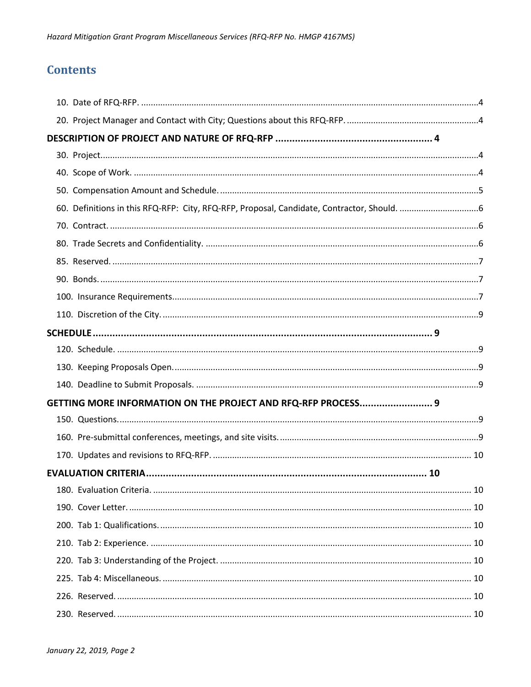# **Contents**

| GETTING MORE INFORMATION ON THE PROJECT AND RFQ-RFP PROCESS 9 |  |
|---------------------------------------------------------------|--|
|                                                               |  |
|                                                               |  |
|                                                               |  |
|                                                               |  |
|                                                               |  |
|                                                               |  |
|                                                               |  |
|                                                               |  |
|                                                               |  |
|                                                               |  |
|                                                               |  |
|                                                               |  |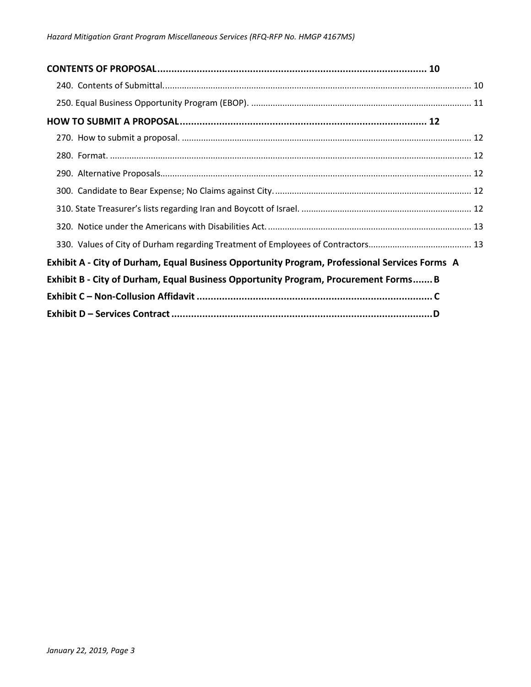| Exhibit A - City of Durham, Equal Business Opportunity Program, Professional Services Forms A |  |
|-----------------------------------------------------------------------------------------------|--|
| Exhibit B - City of Durham, Equal Business Opportunity Program, Procurement Forms B           |  |
|                                                                                               |  |
|                                                                                               |  |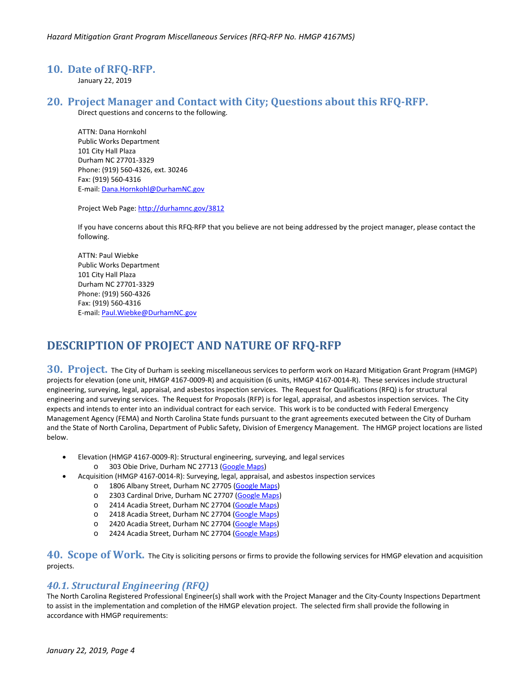#### <span id="page-3-0"></span>**10. Date of RFQ-RFP.**

January 22, 2019

### <span id="page-3-1"></span>**20. Project Manager and Contact with City; Questions about this RFQ-RFP.**

Direct questions and concerns to the following.

ATTN: Dana Hornkohl Public Works Department 101 City Hall Plaza Durham NC 27701-3329 Phone: (919) 560-4326, ext. 30246 Fax: (919) 560-4316 E-mail[: Dana.Hornkohl@DurhamNC.gov](mailto:Dana.Hornkohl@DurhamNC.gov)

Project Web Page[: http://durhamnc.gov/3812](http://durhamnc.gov/3812)

If you have concerns about this RFQ-RFP that you believe are not being addressed by the project manager, please contact the following.

ATTN: Paul Wiebke Public Works Department 101 City Hall Plaza Durham NC 27701-3329 Phone: (919) 560-4326 Fax: (919) 560-4316 E-mail[: Paul.Wiebke@DurhamNC.gov](mailto:Paul.Wiebke@DurhamNC.gov)

## <span id="page-3-2"></span>**DESCRIPTION OF PROJECT AND NATURE OF RFQ-RFP**

<span id="page-3-3"></span>**30. Project.** The City of Durham is seeking miscellaneous services to perform work on Hazard Mitigation Grant Program (HMGP) projects for elevation (one unit, HMGP 4167-0009-R) and acquisition (6 units, HMGP 4167-0014-R). These services include structural engineering, surveying, legal, appraisal, and asbestos inspection services. The Request for Qualifications (RFQ) is for structural engineering and surveying services. The Request for Proposals (RFP) is for legal, appraisal, and asbestos inspection services. The City expects and intends to enter into an individual contract for each service. This work is to be conducted with Federal Emergency Management Agency (FEMA) and North Carolina State funds pursuant to the grant agreements executed between the City of Durham and the State of North Carolina, Department of Public Safety, Division of Emergency Management. The HMGP project locations are listed below.

- Elevation (HMGP 4167-0009-R): Structural engineering, surveying, and legal services
	- o 303 Obie Drive, Durham NC 27713 [\(Google Maps\)](https://www.google.com/maps/place/303+Obie+Dr,+Durham,+NC+27713/@35.9269032,-78.9187029,17z/data=!3m1!4b1!4m5!3m4!1s0x89ace5f74417c679:0x34c9f40f63654f32!8m2!3d35.9269032!4d-78.9165142?hl=en)
- Acquisition (HMGP 4167-0014-R): Surveying, legal, appraisal, and asbestos inspection services
	- o 1806 Albany Street, Durham NC 27705 [\(Google Maps\)](https://www.google.com/maps/place/1806+Albany+St,+Durham,+NC+27705/@36.0240402,-78.9301952,17z/data=!3m1!4b1!4m5!3m4!1s0x89ace3e26dc7ca79:0x5d7181224ed9d84b!8m2!3d36.0240402!4d-78.9280065?hl=en)
	- o 2303 Cardinal Drive, Durham NC 27707 [\(Google Maps\)](https://www.google.com/maps/place/2303+Cardinal+Dr,+Durham,+NC+27707/@35.9371398,-78.9446553,17z/data=!3m1!4b1!4m5!3m4!1s0x89ace6105c499897:0x464ca914cb212478!8m2!3d35.9371398!4d-78.9424666?hl=en)
	- o 2414 Acadia Street, Durham NC 27704 [\(Google Maps\)](https://www.google.com/maps/place/2414+Acadia+St,+Durham,+NC+27704/@36.0204424,-78.8965544,17z/data=!3m1!4b1!4m5!3m4!1s0x89ace39a7a657771:0x54bc08a09b49dd9f!8m2!3d36.0204424!4d-78.8943657?hl=en)
	- o 2418 Acadia Street, Durham NC 27704 [\(Google Maps\)](https://www.google.com/maps/place/2418+Acadia+St,+Durham,+NC+27704/@36.0207324,-78.8965879,17z/data=!3m1!4b1!4m5!3m4!1s0x89ace39a711bb999:0x1109c3a7d29a355e!8m2!3d36.0207324!4d-78.8943992?hl=en)
	- o 2420 Acadia Street, Durham NC 27704 [\(Google Maps\)](https://www.google.com/maps/place/2420+Acadia+St,+Durham,+NC+27704/@36.0209041,-78.8965544,17z/data=!3m1!4b1!4m5!3m4!1s0x89ace39a73cc570f:0x70c260f155e151e2!8m2!3d36.0209041!4d-78.8943657?hl=en)
	- o 2424 Acadia Street, Durham NC 27704 [\(Google Maps\)](https://www.google.com/maps/place/2424+Acadia+St,+Durham,+NC+27704/@36.0212021,-78.8965986,17z/data=!3m1!4b1!4m5!3m4!1s0x89ace39a0cd19f6b:0x6fb3ff484ae7847c!8m2!3d36.0212021!4d-78.8944099?hl=en)

<span id="page-3-4"></span>**40. Scope of Work.** The City is soliciting persons or firms to provide the following services for HMGP elevation and acquisition projects.

#### *40.1. Structural Engineering (RFQ)*

The North Carolina Registered Professional Engineer(s) shall work with the Project Manager and the City-County Inspections Department to assist in the implementation and completion of the HMGP elevation project. The selected firm shall provide the following in accordance with HMGP requirements: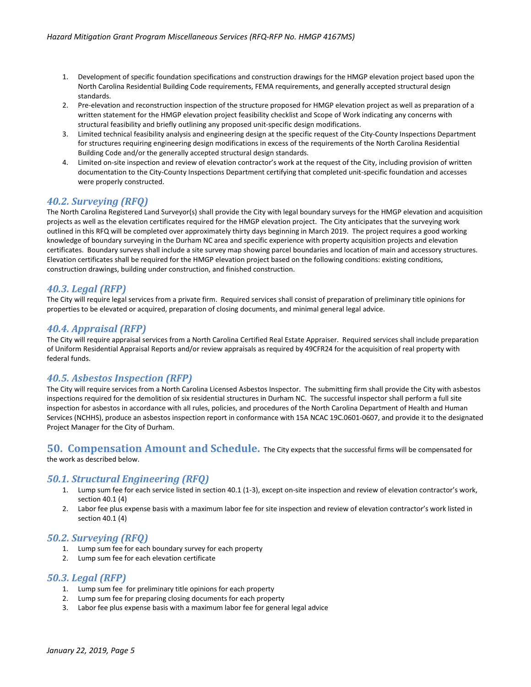- 1. Development of specific foundation specifications and construction drawings for the HMGP elevation project based upon the North Carolina Residential Building Code requirements, FEMA requirements, and generally accepted structural design standards.
- 2. Pre-elevation and reconstruction inspection of the structure proposed for HMGP elevation project as well as preparation of a written statement for the HMGP elevation project feasibility checklist and Scope of Work indicating any concerns with structural feasibility and briefly outlining any proposed unit-specific design modifications.
- 3. Limited technical feasibility analysis and engineering design at the specific request of the City-County Inspections Department for structures requiring engineering design modifications in excess of the requirements of the North Carolina Residential Building Code and/or the generally accepted structural design standards.
- 4. Limited on-site inspection and review of elevation contractor's work at the request of the City, including provision of written documentation to the City-County Inspections Department certifying that completed unit-specific foundation and accesses were properly constructed.

### *40.2. Surveying (RFQ)*

The North Carolina Registered Land Surveyor(s) shall provide the City with legal boundary surveys for the HMGP elevation and acquisition projects as well as the elevation certificates required for the HMGP elevation project. The City anticipates that the surveying work outlined in this RFQ will be completed over approximately thirty days beginning in March 2019. The project requires a good working knowledge of boundary surveying in the Durham NC area and specific experience with property acquisition projects and elevation certificates. Boundary surveys shall include a site survey map showing parcel boundaries and location of main and accessory structures. Elevation certificates shall be required for the HMGP elevation project based on the following conditions: existing conditions, construction drawings, building under construction, and finished construction.

### *40.3. Legal (RFP)*

The City will require legal services from a private firm. Required services shall consist of preparation of preliminary title opinions for properties to be elevated or acquired, preparation of closing documents, and minimal general legal advice.

### *40.4. Appraisal (RFP)*

The City will require appraisal services from a North Carolina Certified Real Estate Appraiser. Required services shall include preparation of Uniform Residential Appraisal Reports and/or review appraisals as required by 49CFR24 for the acquisition of real property with federal funds.

#### *40.5. Asbestos Inspection (RFP)*

The City will require services from a North Carolina Licensed Asbestos Inspector. The submitting firm shall provide the City with asbestos inspections required for the demolition of six residential structures in Durham NC. The successful inspector shall perform a full site inspection for asbestos in accordance with all rules, policies, and procedures of the North Carolina Department of Health and Human Services (NCHHS), produce an asbestos inspection report in conformance with 15A NCAC 19C.0601-0607, and provide it to the designated Project Manager for the City of Durham.

#### <span id="page-4-0"></span>**50. Compensation Amount and Schedule.** The City expects that the successful firms will be compensated for the work as described below.

#### *50.1. Structural Engineering (RFQ)*

- 1. Lump sum fee for each service listed in section 40.1 (1-3), except on-site inspection and review of elevation contractor's work, section 40.1 (4)
- 2. Labor fee plus expense basis with a maximum labor fee for site inspection and review of elevation contractor's work listed in section 40.1 (4)

### *50.2. Surveying (RFQ)*

- 1. Lump sum fee for each boundary survey for each property
- 2. Lump sum fee for each elevation certificate

#### *50.3. Legal (RFP)*

- 1. Lump sum fee for preliminary title opinions for each property
- 2. Lump sum fee for preparing closing documents for each property
- 3. Labor fee plus expense basis with a maximum labor fee for general legal advice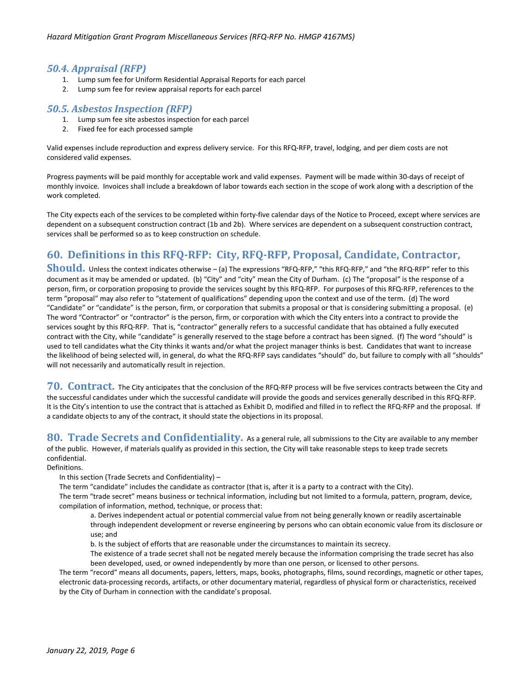#### *50.4. Appraisal (RFP)*

- 1. Lump sum fee for Uniform Residential Appraisal Reports for each parcel
- 2. Lump sum fee for review appraisal reports for each parcel

### *50.5. Asbestos Inspection (RFP)*

- 1. Lump sum fee site asbestos inspection for each parcel
- 2. Fixed fee for each processed sample

Valid expenses include reproduction and express delivery service. For this RFQ-RFP, travel, lodging, and per diem costs are not considered valid expenses.

Progress payments will be paid monthly for acceptable work and valid expenses. Payment will be made within 30-days of receipt of monthly invoice. Invoices shall include a breakdown of labor towards each section in the scope of work along with a description of the work completed.

The City expects each of the services to be completed within forty-five calendar days of the Notice to Proceed, except where services are dependent on a subsequent construction contract (1b and 2b). Where services are dependent on a subsequent construction contract, services shall be performed so as to keep construction on schedule.

# <span id="page-5-0"></span>**60. Definitions in this RFQ-RFP: City, RFQ-RFP, Proposal, Candidate, Contractor,**

**Should.** Unless the context indicates otherwise – (a) The expressions "RFQ-RFP," "this RFQ-RFP," and "the RFQ-RFP" refer to this document as it may be amended or updated. (b) "City" and "city" mean the City of Durham. (c) The "proposal" is the response of a person, firm, or corporation proposing to provide the services sought by this RFQ-RFP. For purposes of this RFQ-RFP, references to the term "proposal" may also refer to "statement of qualifications" depending upon the context and use of the term. (d) The word "Candidate" or "candidate" is the person, firm, or corporation that submits a proposal or that is considering submitting a proposal. (e) The word "Contractor" or "contractor" is the person, firm, or corporation with which the City enters into a contract to provide the services sought by this RFQ-RFP. That is, "contractor" generally refers to a successful candidate that has obtained a fully executed contract with the City, while "candidate" is generally reserved to the stage before a contract has been signed. (f) The word "should" is used to tell candidates what the City thinks it wants and/or what the project manager thinks is best. Candidates that want to increase the likelihood of being selected will, in general, do what the RFQ-RFP says candidates "should" do, but failure to comply with all "shoulds" will not necessarily and automatically result in rejection.

<span id="page-5-1"></span>**70. Contract.** The City anticipates that the conclusion of the RFQ-RFP process will be five services contracts between the City and the successful candidates under which the successful candidate will provide the goods and services generally described in this RFQ-RFP. It is the City's intention to use the contract that is attached as Exhibit D, modified and filled in to reflect the RFQ-RFP and the proposal. If a candidate objects to any of the contract, it should state the objections in its proposal.

<span id="page-5-2"></span>**80. Trade Secrets and Confidentiality.** As a general rule, all submissions to the City are available to any member of the public. However, if materials qualify as provided in this section, the City will take reasonable steps to keep trade secrets confidential.

Definitions.

In this section (Trade Secrets and Confidentiality) –

The term "candidate" includes the candidate as contractor (that is, after it is a party to a contract with the City).

The term "trade secret" means business or technical information, including but not limited to a formula, pattern, program, device, compilation of information, method, technique, or process that:

a. Derives independent actual or potential commercial value from not being generally known or readily ascertainable through independent development or reverse engineering by persons who can obtain economic value from its disclosure or use; and

b. Is the subject of efforts that are reasonable under the circumstances to maintain its secrecy.

The existence of a trade secret shall not be negated merely because the information comprising the trade secret has also been developed, used, or owned independently by more than one person, or licensed to other persons.

The term "record" means all documents, papers, letters, maps, books, photographs, films, sound recordings, magnetic or other tapes, electronic data-processing records, artifacts, or other documentary material, regardless of physical form or characteristics, received by the City of Durham in connection with the candidate's proposal.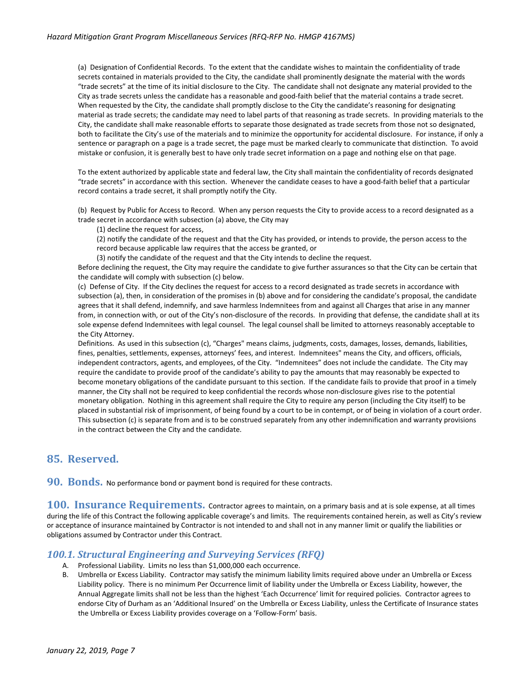(a) Designation of Confidential Records. To the extent that the candidate wishes to maintain the confidentiality of trade secrets contained in materials provided to the City, the candidate shall prominently designate the material with the words "trade secrets" at the time of its initial disclosure to the City. The candidate shall not designate any material provided to the City as trade secrets unless the candidate has a reasonable and good-faith belief that the material contains a trade secret. When requested by the City, the candidate shall promptly disclose to the City the candidate's reasoning for designating material as trade secrets; the candidate may need to label parts of that reasoning as trade secrets. In providing materials to the City, the candidate shall make reasonable efforts to separate those designated as trade secrets from those not so designated, both to facilitate the City's use of the materials and to minimize the opportunity for accidental disclosure. For instance, if only a sentence or paragraph on a page is a trade secret, the page must be marked clearly to communicate that distinction. To avoid mistake or confusion, it is generally best to have only trade secret information on a page and nothing else on that page.

To the extent authorized by applicable state and federal law, the City shall maintain the confidentiality of records designated "trade secrets" in accordance with this section. Whenever the candidate ceases to have a good-faith belief that a particular record contains a trade secret, it shall promptly notify the City.

(b) Request by Public for Access to Record. When any person requests the City to provide access to a record designated as a trade secret in accordance with subsection (a) above, the City may

(1) decline the request for access,

(2) notify the candidate of the request and that the City has provided, or intends to provide, the person access to the record because applicable law requires that the access be granted, or

(3) notify the candidate of the request and that the City intends to decline the request.

Before declining the request, the City may require the candidate to give further assurances so that the City can be certain that the candidate will comply with subsection (c) below.

(c) Defense of City. If the City declines the request for access to a record designated as trade secrets in accordance with subsection (a), then, in consideration of the promises in (b) above and for considering the candidate's proposal, the candidate agrees that it shall defend, indemnify, and save harmless Indemnitees from and against all Charges that arise in any manner from, in connection with, or out of the City's non-disclosure of the records. In providing that defense, the candidate shall at its sole expense defend Indemnitees with legal counsel. The legal counsel shall be limited to attorneys reasonably acceptable to the City Attorney.

Definitions. As used in this subsection (c), "Charges" means claims, judgments, costs, damages, losses, demands, liabilities, fines, penalties, settlements, expenses, attorneys' fees, and interest. Indemnitees" means the City, and officers, officials, independent contractors, agents, and employees, of the City. "Indemnitees" does not include the candidate. The City may require the candidate to provide proof of the candidate's ability to pay the amounts that may reasonably be expected to become monetary obligations of the candidate pursuant to this section. If the candidate fails to provide that proof in a timely manner, the City shall not be required to keep confidential the records whose non-disclosure gives rise to the potential monetary obligation. Nothing in this agreement shall require the City to require any person (including the City itself) to be placed in substantial risk of imprisonment, of being found by a court to be in contempt, or of being in violation of a court order. This subsection (c) is separate from and is to be construed separately from any other indemnification and warranty provisions in the contract between the City and the candidate.

## <span id="page-6-0"></span>**85. Reserved.**

<span id="page-6-1"></span>**90. Bonds.** No performance bond or payment bond is required for these contracts.

<span id="page-6-2"></span>**100. Insurance Requirements.** Contractor agrees to maintain, on a primary basis and at is sole expense, at all times during the life of this Contract the following applicable coverage's and limits. The requirements contained herein, as well as City's review or acceptance of insurance maintained by Contractor is not intended to and shall not in any manner limit or qualify the liabilities or obligations assumed by Contractor under this Contract.

### *100.1. Structural Engineering and Surveying Services (RFQ)*

- A. Professional Liability. Limits no less than \$1,000,000 each occurrence.
- B. Umbrella or Excess Liability. Contractor may satisfy the minimum liability limits required above under an Umbrella or Excess Liability policy. There is no minimum Per Occurrence limit of liability under the Umbrella or Excess Liability, however, the Annual Aggregate limits shall not be less than the highest 'Each Occurrence' limit for required policies. Contractor agrees to endorse City of Durham as an 'Additional Insured' on the Umbrella or Excess Liability, unless the Certificate of Insurance states the Umbrella or Excess Liability provides coverage on a 'Follow-Form' basis.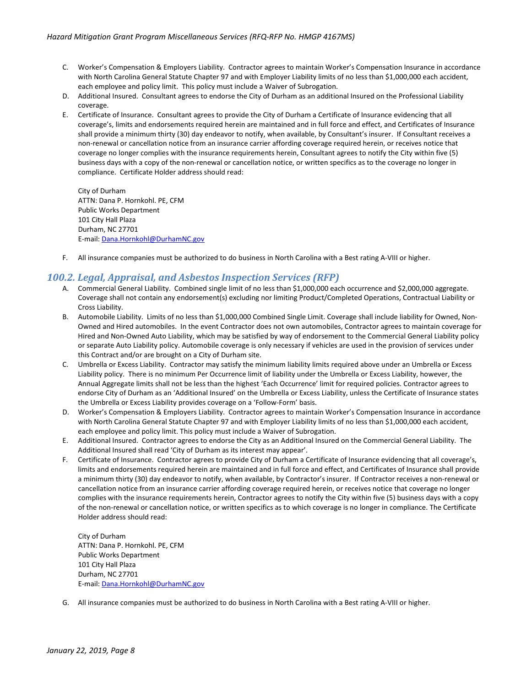- C. Worker's Compensation & Employers Liability. Contractor agrees to maintain Worker's Compensation Insurance in accordance with North Carolina General Statute Chapter 97 and with Employer Liability limits of no less than \$1,000,000 each accident, each employee and policy limit. This policy must include a Waiver of Subrogation.
- D. Additional Insured. Consultant agrees to endorse the City of Durham as an additional Insured on the Professional Liability coverage.
- E. Certificate of Insurance. Consultant agrees to provide the City of Durham a Certificate of Insurance evidencing that all coverage's, limits and endorsements required herein are maintained and in full force and effect, and Certificates of Insurance shall provide a minimum thirty (30) day endeavor to notify, when available, by Consultant's insurer. If Consultant receives a non-renewal or cancellation notice from an insurance carrier affording coverage required herein, or receives notice that coverage no longer complies with the insurance requirements herein, Consultant agrees to notify the City within five (5) business days with a copy of the non-renewal or cancellation notice, or written specifics as to the coverage no longer in compliance. Certificate Holder address should read:

City of Durham ATTN: Dana P. Hornkohl. PE, CFM Public Works Department 101 City Hall Plaza Durham, NC 27701 E-mail[: Dana.Hornkohl@DurhamNC.gov](mailto:Dana.Hornkohl@DurhamNC.gov)

F. All insurance companies must be authorized to do business in North Carolina with a Best rating A-VIII or higher.

#### *100.2. Legal, Appraisal, and Asbestos Inspection Services (RFP)*

- A. Commercial General Liability. Combined single limit of no less than \$1,000,000 each occurrence and \$2,000,000 aggregate. Coverage shall not contain any endorsement(s) excluding nor limiting Product/Completed Operations, Contractual Liability or Cross Liability.
- B. Automobile Liability. Limits of no less than \$1,000,000 Combined Single Limit. Coverage shall include liability for Owned, Non-Owned and Hired automobiles. In the event Contractor does not own automobiles, Contractor agrees to maintain coverage for Hired and Non-Owned Auto Liability, which may be satisfied by way of endorsement to the Commercial General Liability policy or separate Auto Liability policy. Automobile coverage is only necessary if vehicles are used in the provision of services under this Contract and/or are brought on a City of Durham site.
- C. Umbrella or Excess Liability. Contractor may satisfy the minimum liability limits required above under an Umbrella or Excess Liability policy. There is no minimum Per Occurrence limit of liability under the Umbrella or Excess Liability, however, the Annual Aggregate limits shall not be less than the highest 'Each Occurrence' limit for required policies. Contractor agrees to endorse City of Durham as an 'Additional Insured' on the Umbrella or Excess Liability, unless the Certificate of Insurance states the Umbrella or Excess Liability provides coverage on a 'Follow-Form' basis.
- D. Worker's Compensation & Employers Liability. Contractor agrees to maintain Worker's Compensation Insurance in accordance with North Carolina General Statute Chapter 97 and with Employer Liability limits of no less than \$1,000,000 each accident, each employee and policy limit. This policy must include a Waiver of Subrogation.
- E. Additional Insured. Contractor agrees to endorse the City as an Additional Insured on the Commercial General Liability. The Additional Insured shall read 'City of Durham as its interest may appear'.
- F. Certificate of Insurance. Contractor agrees to provide City of Durham a Certificate of Insurance evidencing that all coverage's, limits and endorsements required herein are maintained and in full force and effect, and Certificates of Insurance shall provide a minimum thirty (30) day endeavor to notify, when available, by Contractor's insurer. If Contractor receives a non-renewal or cancellation notice from an insurance carrier affording coverage required herein, or receives notice that coverage no longer complies with the insurance requirements herein, Contractor agrees to notify the City within five (5) business days with a copy of the non-renewal or cancellation notice, or written specifics as to which coverage is no longer in compliance. The Certificate Holder address should read:

City of Durham ATTN: Dana P. Hornkohl. PE, CFM Public Works Department 101 City Hall Plaza Durham, NC 27701 E-mail[: Dana.Hornkohl@DurhamNC.gov](mailto:Dana.Hornkohl@DurhamNC.gov)

G. All insurance companies must be authorized to do business in North Carolina with a Best rating A-VIII or higher.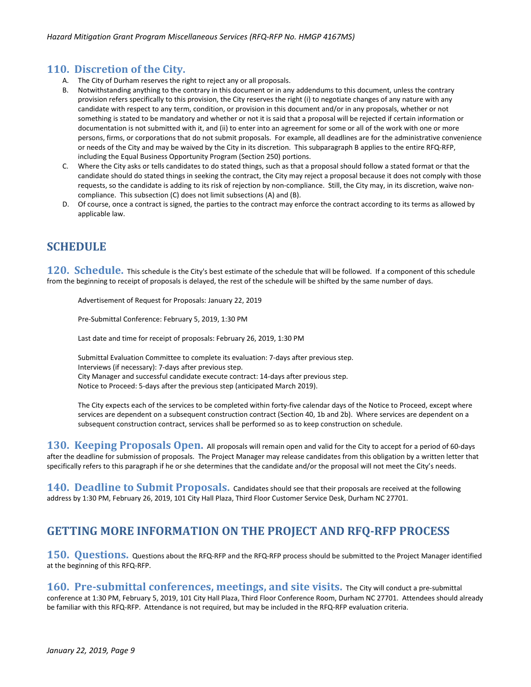## <span id="page-8-0"></span>**110. Discretion of the City.**

- A. The City of Durham reserves the right to reject any or all proposals.
- B. Notwithstanding anything to the contrary in this document or in any addendums to this document, unless the contrary provision refers specifically to this provision, the City reserves the right (i) to negotiate changes of any nature with any candidate with respect to any term, condition, or provision in this document and/or in any proposals, whether or not something is stated to be mandatory and whether or not it is said that a proposal will be rejected if certain information or documentation is not submitted with it, and (ii) to enter into an agreement for some or all of the work with one or more persons, firms, or corporations that do not submit proposals. For example, all deadlines are for the administrative convenience or needs of the City and may be waived by the City in its discretion. This subparagraph B applies to the entire RFQ-RFP, including the Equal Business Opportunity Program (Section 250) portions.
- C. Where the City asks or tells candidates to do stated things, such as that a proposal should follow a stated format or that the candidate should do stated things in seeking the contract, the City may reject a proposal because it does not comply with those requests, so the candidate is adding to its risk of rejection by non-compliance. Still, the City may, in its discretion, waive noncompliance. This subsection (C) does not limit subsections (A) and (B).
- D. Of course, once a contract is signed, the parties to the contract may enforce the contract according to its terms as allowed by applicable law.

# <span id="page-8-1"></span>**SCHEDULE**

<span id="page-8-2"></span>120. Schedule. This schedule is the City's best estimate of the schedule that will be followed. If a component of this schedule from the beginning to receipt of proposals is delayed, the rest of the schedule will be shifted by the same number of days.

Advertisement of Request for Proposals: January 22, 2019

Pre-Submittal Conference: February 5, 2019, 1:30 PM

Last date and time for receipt of proposals: February 26, 2019, 1:30 PM

Submittal Evaluation Committee to complete its evaluation: 7-days after previous step. Interviews (if necessary): 7-days after previous step. City Manager and successful candidate execute contract: 14-days after previous step. Notice to Proceed: 5-days after the previous step (anticipated March 2019).

The City expects each of the services to be completed within forty-five calendar days of the Notice to Proceed, except where services are dependent on a subsequent construction contract (Section 40, 1b and 2b). Where services are dependent on a subsequent construction contract, services shall be performed so as to keep construction on schedule.

<span id="page-8-3"></span>**130. Keeping Proposals Open.** All proposals will remain open and valid for the City to accept for a period of 60-days after the deadline for submission of proposals. The Project Manager may release candidates from this obligation by a written letter that specifically refers to this paragraph if he or she determines that the candidate and/or the proposal will not meet the City's needs.

<span id="page-8-5"></span><span id="page-8-4"></span>**140. Deadline to Submit Proposals.** Candidates should see that their proposals are received at the following address by 1:30 PM, February 26, 2019, 101 City Hall Plaza, Third Floor Customer Service Desk, Durham NC 27701.

# **GETTING MORE INFORMATION ON THE PROJECT AND RFQ-RFP PROCESS**

<span id="page-8-6"></span>**150. Questions.** Questions about the RFQ-RFP and the RFQ-RFP process should be submitted to the Project Manager identified at the beginning of this RFQ-RFP.

<span id="page-8-7"></span>**160. Pre-submittal conferences, meetings, and site visits.** The City will conduct a pre-submittal conference at 1:30 PM, February 5, 2019, 101 City Hall Plaza, Third Floor Conference Room, Durham NC 27701. Attendees should already be familiar with this RFQ-RFP. Attendance is not required, but may be included in the RFQ-RFP evaluation criteria.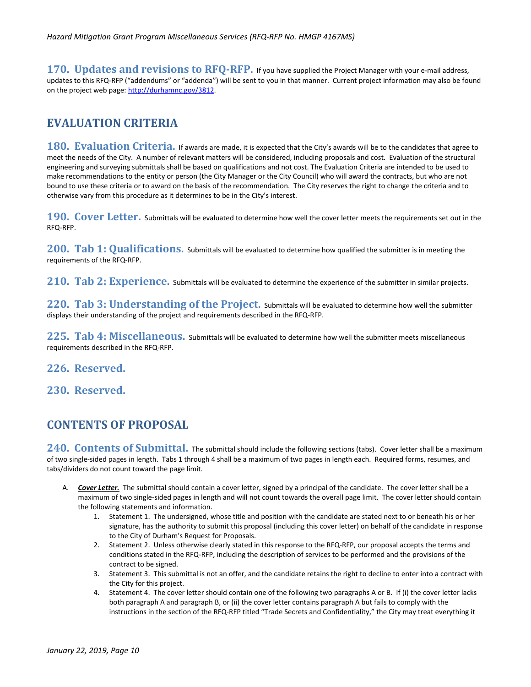<span id="page-9-0"></span>**170. Updates and revisions to RFQ-RFP.** If you have supplied the Project Manager with your e-mail address, updates to this RFQ-RFP ("addendums" or "addenda") will be sent to you in that manner. Current project information may also be found on the project web page[: http://durhamnc.gov/3812.](http://durhamnc.gov/3812)

## <span id="page-9-1"></span>**EVALUATION CRITERIA**

<span id="page-9-2"></span>**180. Evaluation Criteria.** If awards are made, it is expected that the City's awards will be to the candidates that agree to meet the needs of the City. A number of relevant matters will be considered, including proposals and cost. Evaluation of the structural engineering and surveying submittals shall be based on qualifications and not cost. The Evaluation Criteria are intended to be used to make recommendations to the entity or person (the City Manager or the City Council) who will award the contracts, but who are not bound to use these criteria or to award on the basis of the recommendation. The City reserves the right to change the criteria and to otherwise vary from this procedure as it determines to be in the City's interest.

<span id="page-9-3"></span>**190. Cover Letter.** Submittals will be evaluated to determine how well the cover letter meets the requirements set out in the RFQ-RFP.

<span id="page-9-4"></span>**200. Tab 1: Qualifications.** Submittals will be evaluated to determine how qualified the submitter is in meeting the requirements of the RFQ-RFP.

<span id="page-9-5"></span>210. Tab 2: Experience. Submittals will be evaluated to determine the experience of the submitter in similar projects.

<span id="page-9-6"></span>**220. Tab 3: Understanding of the Project.** Submittals will be evaluated to determine how well the submitter displays their understanding of the project and requirements described in the RFQ-RFP.

<span id="page-9-7"></span>225. Tab 4: Miscellaneous. Submittals will be evaluated to determine how well the submitter meets miscellaneous requirements described in the RFQ-RFP.

### <span id="page-9-9"></span><span id="page-9-8"></span>**226. Reserved.**

<span id="page-9-10"></span>**230. Reserved.**

## **CONTENTS OF PROPOSAL**

<span id="page-9-11"></span>240. Contents of Submittal. The submittal should include the following sections (tabs). Cover letter shall be a maximum of two single-sided pages in length. Tabs 1 through 4 shall be a maximum of two pages in length each. Required forms, resumes, and tabs/dividers do not count toward the page limit.

- A. *Cover Letter.* The submittal should contain a cover letter, signed by a principal of the candidate. The cover letter shall be a maximum of two single-sided pages in length and will not count towards the overall page limit. The cover letter should contain the following statements and information.
	- 1. Statement 1. The undersigned, whose title and position with the candidate are stated next to or beneath his or her signature, has the authority to submit this proposal (including this cover letter) on behalf of the candidate in response to the City of Durham's Request for Proposals.
	- 2. Statement 2. Unless otherwise clearly stated in this response to the RFQ-RFP, our proposal accepts the terms and conditions stated in the RFQ-RFP, including the description of services to be performed and the provisions of the contract to be signed.
	- 3. Statement 3. This submittal is not an offer, and the candidate retains the right to decline to enter into a contract with the City for this project.
	- 4. Statement 4. The cover letter should contain one of the following two paragraphs A or B. If (i) the cover letter lacks both paragraph A and paragraph B, or (ii) the cover letter contains paragraph A but fails to comply with the instructions in the section of the RFQ-RFP titled "Trade Secrets and Confidentiality," the City may treat everything it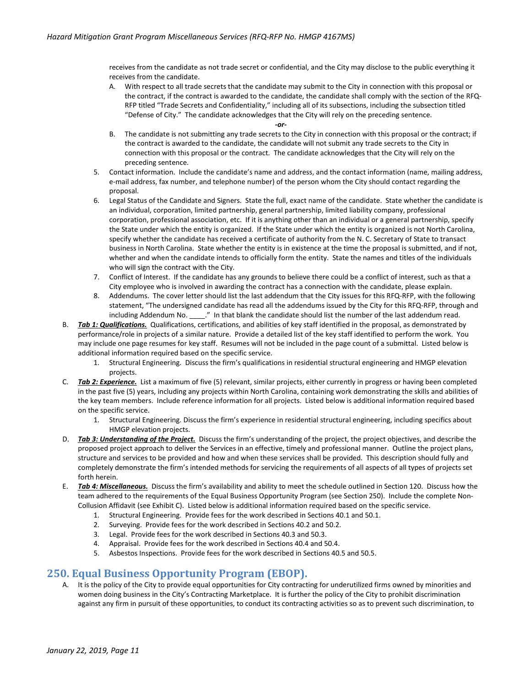receives from the candidate as not trade secret or confidential, and the City may disclose to the public everything it receives from the candidate.

- A. With respect to all trade secrets that the candidate may submit to the City in connection with this proposal or the contract, if the contract is awarded to the candidate, the candidate shall comply with the section of the RFQ-RFP titled "Trade Secrets and Confidentiality," including all of its subsections, including the subsection titled "Defense of City." The candidate acknowledges that the City will rely on the preceding sentence.
	- *-or-*
- B. The candidate is not submitting any trade secrets to the City in connection with this proposal or the contract; if the contract is awarded to the candidate, the candidate will not submit any trade secrets to the City in connection with this proposal or the contract. The candidate acknowledges that the City will rely on the preceding sentence.
- 5. Contact information. Include the candidate's name and address, and the contact information (name, mailing address, e-mail address, fax number, and telephone number) of the person whom the City should contact regarding the proposal.
- 6. Legal Status of the Candidate and Signers. State the full, exact name of the candidate. State whether the candidate is an individual, corporation, limited partnership, general partnership, limited liability company, professional corporation, professional association, etc. If it is anything other than an individual or a general partnership, specify the State under which the entity is organized. If the State under which the entity is organized is not North Carolina, specify whether the candidate has received a certificate of authority from the N. C. Secretary of State to transact business in North Carolina. State whether the entity is in existence at the time the proposal is submitted, and if not, whether and when the candidate intends to officially form the entity. State the names and titles of the individuals who will sign the contract with the City.
- 7. Conflict of Interest. If the candidate has any grounds to believe there could be a conflict of interest, such as that a City employee who is involved in awarding the contract has a connection with the candidate, please explain.
- 8. Addendums. The cover letter should list the last addendum that the City issues for this RFQ-RFP, with the following statement, "The undersigned candidate has read all the addendums issued by the City for this RFQ-RFP, through and including Addendum No. \_\_\_\_." In that blank the candidate should list the number of the last addendum read.
- B. *Tab 1: Qualifications.* Qualifications, certifications, and abilities of key staff identified in the proposal, as demonstrated by performance/role in projects of a similar nature. Provide a detailed list of the key staff identified to perform the work. You may include one page resumes for key staff. Resumes will not be included in the page count of a submittal. Listed below is additional information required based on the specific service.
	- 1. Structural Engineering. Discuss the firm's qualifications in residential structural engineering and HMGP elevation projects.
- C. *Tab 2: Experience.* List a maximum of five (5) relevant, similar projects, either currently in progress or having been completed in the past five (5) years, including any projects within North Carolina, containing work demonstrating the skills and abilities of the key team members. Include reference information for all projects. Listed below is additional information required based on the specific service.
	- 1. Structural Engineering. Discuss the firm's experience in residential structural engineering, including specifics about HMGP elevation projects.
- D. *Tab 3: Understanding of the Project.* Discuss the firm's understanding of the project, the project objectives, and describe the proposed project approach to deliver the Services in an effective, timely and professional manner. Outline the project plans, structure and services to be provided and how and when these services shall be provided. This description should fully and completely demonstrate the firm's intended methods for servicing the requirements of all aspects of all types of projects set forth herein.
- E. *Tab 4: Miscellaneous.* Discuss the firm's availability and ability to meet the schedule outlined in Section 120. Discuss how the team adhered to the requirements of the Equal Business Opportunity Program (see Section 250). Include the complete Non-Collusion Affidavit (see Exhibit C). Listed below is additional information required based on the specific service.
	- 1. Structural Engineering. Provide fees for the work described in Sections 40.1 and 50.1.
	- 2. Surveying. Provide fees for the work described in Sections 40.2 and 50.2.
	- 3. Legal. Provide fees for the work described in Sections 40.3 and 50.3.
	- 4. Appraisal. Provide fees for the work described in Sections 40.4 and 50.4.
	- 5. Asbestos Inspections. Provide fees for the work described in Sections 40.5 and 50.5.

### <span id="page-10-0"></span>**250. Equal Business Opportunity Program (EBOP).**

A. It is the policy of the City to provide equal opportunities for City contracting for underutilized firms owned by minorities and women doing business in the City's Contracting Marketplace. It is further the policy of the City to prohibit discrimination against any firm in pursuit of these opportunities, to conduct its contracting activities so as to prevent such discrimination, to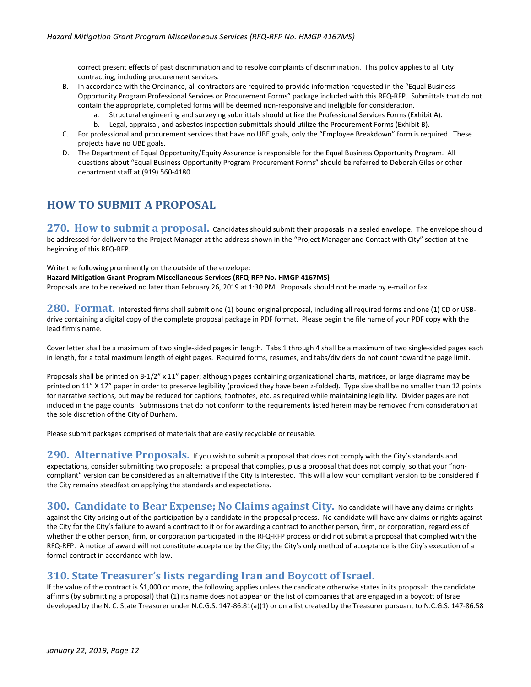correct present effects of past discrimination and to resolve complaints of discrimination. This policy applies to all City contracting, including procurement services.

- B. In accordance with the Ordinance, all contractors are required to provide information requested in the "Equal Business Opportunity Program Professional Services or Procurement Forms" package included with this RFQ-RFP. Submittals that do not contain the appropriate, completed forms will be deemed non-responsive and ineligible for consideration.
	- a. Structural engineering and surveying submittals should utilize the Professional Services Forms (Exhibit A).
	- b. Legal, appraisal, and asbestos inspection submittals should utilize the Procurement Forms (Exhibit B).
- C. For professional and procurement services that have no UBE goals, only the "Employee Breakdown" form is required. These projects have no UBE goals.
- D. The Department of Equal Opportunity/Equity Assurance is responsible for the Equal Business Opportunity Program. All questions about "Equal Business Opportunity Program Procurement Forms" should be referred to Deborah Giles or other department staff at (919) 560-4180.

# <span id="page-11-0"></span>**HOW TO SUBMIT A PROPOSAL**

<span id="page-11-1"></span>**270. How to submit a proposal.** Candidates should submit their proposals in a sealed envelope. The envelope should be addressed for delivery to the Project Manager at the address shown in the "Project Manager and Contact with City" section at the beginning of this RFQ-RFP.

Write the following prominently on the outside of the envelope:

**Hazard Mitigation Grant Program Miscellaneous Services (RFQ-RFP No. HMGP 4167MS)**

Proposals are to be received no later than February 26, 2019 at 1:30 PM. Proposals should not be made by e-mail or fax.

<span id="page-11-2"></span>**280. Format.** Interested firms shall submit one (1) bound original proposal, including all required forms and one (1) CD or USBdrive containing a digital copy of the complete proposal package in PDF format. Please begin the file name of your PDF copy with the lead firm's name.

Cover letter shall be a maximum of two single-sided pages in length. Tabs 1 through 4 shall be a maximum of two single-sided pages each in length, for a total maximum length of eight pages. Required forms, resumes, and tabs/dividers do not count toward the page limit.

Proposals shall be printed on 8-1/2" x 11" paper; although pages containing organizational charts, matrices, or large diagrams may be printed on 11" X 17" paper in order to preserve legibility (provided they have been z-folded). Type size shall be no smaller than 12 points for narrative sections, but may be reduced for captions, footnotes, etc. as required while maintaining legibility. Divider pages are not included in the page counts. Submissions that do not conform to the requirements listed herein may be removed from consideration at the sole discretion of the City of Durham.

Please submit packages comprised of materials that are easily recyclable or reusable.

<span id="page-11-3"></span>290. Alternative Proposals. If you wish to submit a proposal that does not comply with the City's standards and expectations, consider submitting two proposals: a proposal that complies, plus a proposal that does not comply, so that your "noncompliant" version can be considered as an alternative if the City is interested. This will allow your compliant version to be considered if the City remains steadfast on applying the standards and expectations.

<span id="page-11-4"></span>**300. Candidate to Bear Expense; No Claims against City.** No candidate will have any claims or rights against the City arising out of the participation by a candidate in the proposal process. No candidate will have any claims or rights against the City for the City's failure to award a contract to it or for awarding a contract to another person, firm, or corporation, regardless of whether the other person, firm, or corporation participated in the RFQ-RFP process or did not submit a proposal that complied with the RFQ-RFP. A notice of award will not constitute acceptance by the City; the City's only method of acceptance is the City's execution of a formal contract in accordance with law.

### <span id="page-11-5"></span>**310. State Treasurer's lists regarding Iran and Boycott of Israel.**

If the value of the contract is \$1,000 or more, the following applies unless the candidate otherwise states in its proposal: the candidate affirms (by submitting a proposal) that (1) its name does not appear on the list of companies that are engaged in a boycott of Israel developed by the N. C. State Treasurer under N.C.G.S. 147-86.81(a)(1) or on a list created by the Treasurer pursuant to N.C.G.S. 147-86.58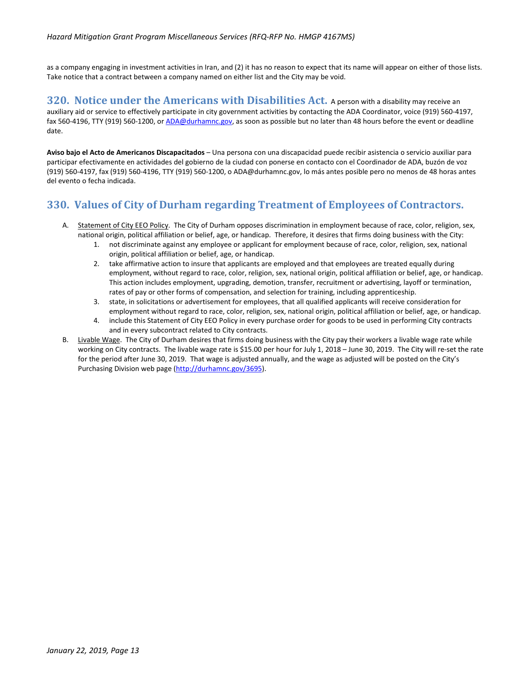as a company engaging in investment activities in Iran, and (2) it has no reason to expect that its name will appear on either of those lists. Take notice that a contract between a company named on either list and the City may be void.

<span id="page-12-0"></span>**320. Notice under the Americans with Disabilities Act.** A person with a disability may receive an auxiliary aid or service to effectively participate in city government activities by contacting the ADA Coordinator, voice (919) 560-4197, fax 560-4196, TTY (919) 560-1200, o[r ADA@durhamnc.gov,](mailto:ADA@durhamnc.gov) as soon as possible but no later than 48 hours before the event or deadline date.

**Aviso bajo el Acto de Americanos Discapacitados** – Una persona con una discapacidad puede recibir asistencia o servicio auxiliar para participar efectivamente en actividades del gobierno de la ciudad con ponerse en contacto con el Coordinador de ADA, buzón de voz (919) 560-4197, fax (919) 560-4196, TTY (919) 560-1200, o ADA@durhamnc.gov, lo más antes posible pero no menos de 48 horas antes del evento o fecha indicada.

## <span id="page-12-1"></span>**330. Values of City of Durham regarding Treatment of Employees of Contractors.**

- A. Statement of City EEO Policy. The City of Durham opposes discrimination in employment because of race, color, religion, sex, national origin, political affiliation or belief, age, or handicap. Therefore, it desires that firms doing business with the City:
	- 1. not discriminate against any employee or applicant for employment because of race, color, religion, sex, national origin, political affiliation or belief, age, or handicap.
	- 2. take affirmative action to insure that applicants are employed and that employees are treated equally during employment, without regard to race, color, religion, sex, national origin, political affiliation or belief, age, or handicap. This action includes employment, upgrading, demotion, transfer, recruitment or advertising, layoff or termination, rates of pay or other forms of compensation, and selection for training, including apprenticeship.
	- 3. state, in solicitations or advertisement for employees, that all qualified applicants will receive consideration for employment without regard to race, color, religion, sex, national origin, political affiliation or belief, age, or handicap.
	- 4. include this Statement of City EEO Policy in every purchase order for goods to be used in performing City contracts and in every subcontract related to City contracts.
- B. Livable Wage. The City of Durham desires that firms doing business with the City pay their workers a livable wage rate while working on City contracts. The livable wage rate is \$15.00 per hour for July 1, 2018 – June 30, 2019. The City will re-set the rate for the period after June 30, 2019. That wage is adjusted annually, and the wage as adjusted will be posted on the City's Purchasing Division web page [\(http://durhamnc.gov/3695\)](http://durhamnc.gov/3695).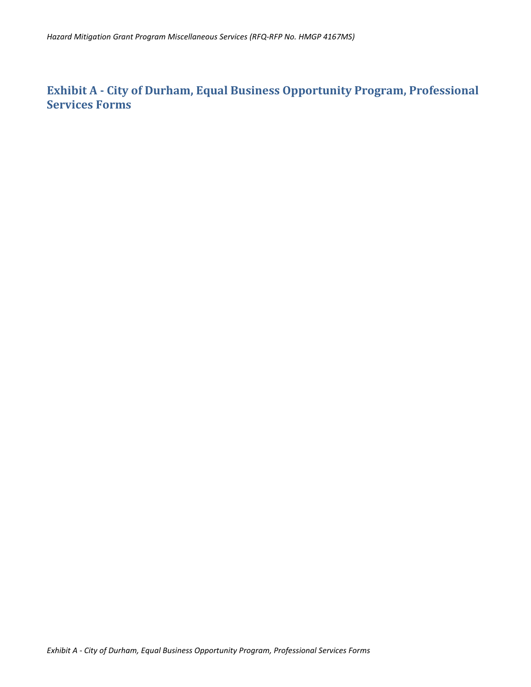# <span id="page-13-0"></span>**Exhibit A - City of Durham, Equal Business Opportunity Program, Professional Services Forms**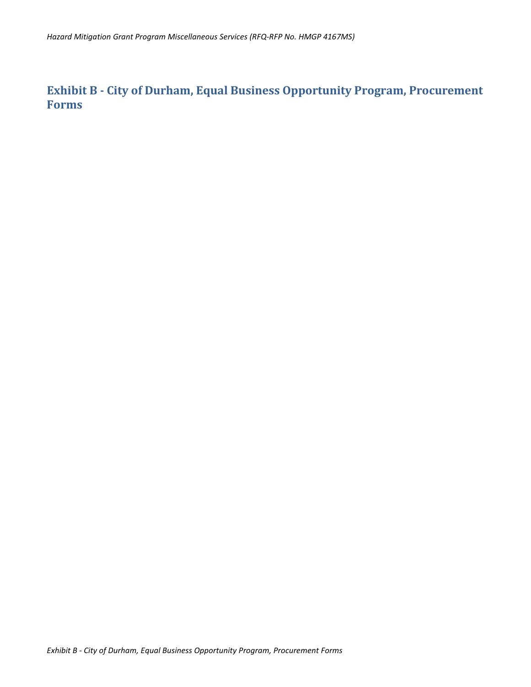<span id="page-14-0"></span>**Exhibit B - City of Durham, Equal Business Opportunity Program, Procurement Forms**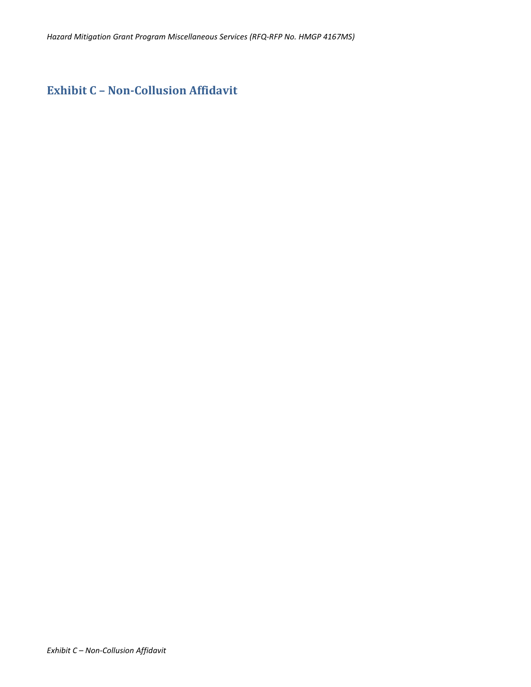# <span id="page-15-0"></span>**Exhibit C – Non-Collusion Affidavit**